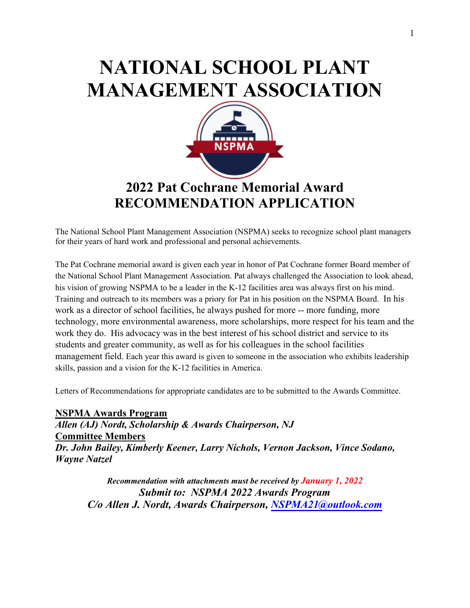## **NATIONAL SCHOOL PLANT MANAGEMENT ASSOCIATION**



## **2022 Pat Cochrane Memorial Award RECOMMENDATION APPLICATION**

The National School Plant Management Association (NSPMA) seeks to recognize school plant managers for their years of hard work and professional and personal achievements.

The Pat Cochrane memorial award is given each year in honor of Pat Cochrane former Board member of the National School Plant Management Association. Pat always challenged the Association to look ahead, his vision of growing NSPMA to be a leader in the K-12 facilities area was always first on his mind. Training and outreach to its members was a priory for Pat in his position on the NSPMA Board. In his work as a director of school facilities, he always pushed for more -- more funding, more technology, more environmental awareness, more scholarships, more respect for his team and the work they do. His advocacy was in the best interest of his school district and service to its students and greater community, as well as for his colleagues in the school facilities management field. Each year this award is given to someone in the association who exhibits leadership skills, passion and a vision for the K-12 facilities in America.

Letters of Recommendations for appropriate candidates are to be submitted to the Awards Committee.

**NSPMA Awards Program**  *Allen (AJ) Nordt, Scholarship & Awards Chairperson, NJ*  **Committee Members** *Dr. John Bailey, Kimberly Keener, Larry Nichols, Vernon Jackson, Vince Sodano, Wayne Natzel*

*Recommendation with attachments must be received by January 1, 2022 Submit to: NSPMA 2022 Awards Program C/o Allen J. Nordt, Awards Chairperson, [NSPMA21@outlook.com](mailto:NSPMA21@outlook.com)*